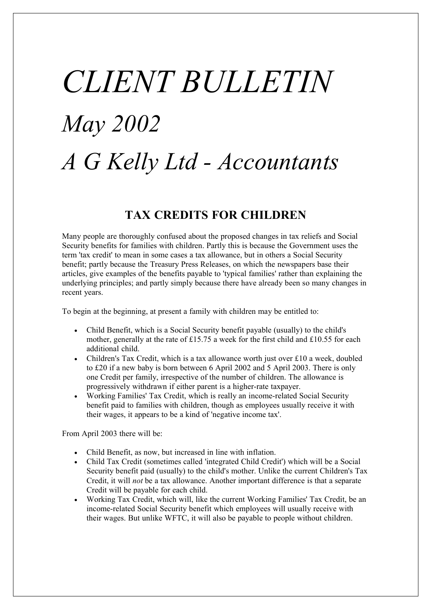# *CLIENT BULLETIN May 2002 A G Kelly Ltd - Accountants*

#### **TAX CREDITS FOR CHILDREN**

Many people are thoroughly confused about the proposed changes in tax reliefs and Social Security benefits for families with children. Partly this is because the Government uses the term 'tax credit' to mean in some cases a tax allowance, but in others a Social Security benefit; partly because the Treasury Press Releases, on which the newspapers base their articles, give examples of the benefits payable to 'typical families' rather than explaining the underlying principles; and partly simply because there have already been so many changes in recent years.

To begin at the beginning, at present a family with children may be entitled to:

- · Child Benefit, which is a Social Security benefit payable (usually) to the child's mother, generally at the rate of £15.75 a week for the first child and £10.55 for each additional child.
- · Children's Tax Credit, which is a tax allowance worth just over £10 a week, doubled to £20 if a new baby is born between 6 April 2002 and 5 April 2003. There is only one Credit per family, irrespective of the number of children. The allowance is progressively withdrawn if either parent is a higher-rate taxpayer.
- · Working Families' Tax Credit, which is really an income-related Social Security benefit paid to families with children, though as employees usually receive it with their wages, it appears to be a kind of 'negative income tax'.

From April 2003 there will be:

- · Child Benefit, as now, but increased in line with inflation.
- · Child Tax Credit (sometimes called 'integrated Child Credit') which will be a Social Security benefit paid (usually) to the child's mother. Unlike the current Children's Tax Credit, it will *not* be a tax allowance. Another important difference is that a separate Credit will be payable for each child.
- · Working Tax Credit, which will, like the current Working Families' Tax Credit, be an income-related Social Security benefit which employees will usually receive with their wages. But unlike WFTC, it will also be payable to people without children.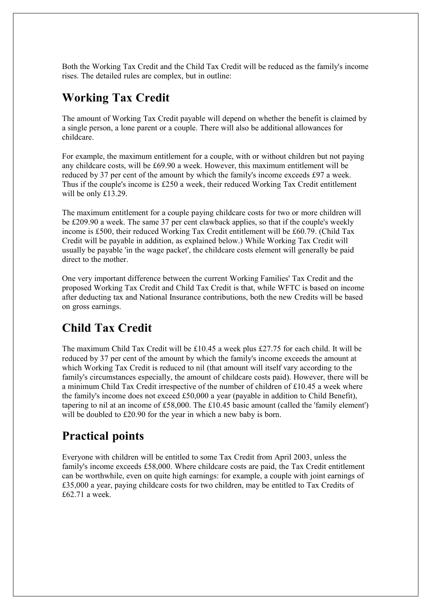Both the Working Tax Credit and the Child Tax Credit will be reduced as the family's income rises. The detailed rules are complex, but in outline:

# **Working Tax Credit**

The amount of Working Tax Credit payable will depend on whether the benefit is claimed by a single person, a lone parent or a couple. There will also be additional allowances for childcare.

For example, the maximum entitlement for a couple, with or without children but not paying any childcare costs, will be £69.90 a week. However, this maximum entitlement will be reduced by 37 per cent of the amount by which the family's income exceeds £97 a week. Thus if the couple's income is £250 a week, their reduced Working Tax Credit entitlement will be only £13.29.

The maximum entitlement for a couple paying childcare costs for two or more children will be £209.90 a week. The same 37 per cent clawback applies, so that if the couple's weekly income is £500, their reduced Working Tax Credit entitlement will be £60.79. (Child Tax Credit will be payable in addition, as explained below.) While Working Tax Credit will usually be payable 'in the wage packet', the childcare costs element will generally be paid direct to the mother.

One very important difference between the current Working Families' Tax Credit and the proposed Working Tax Credit and Child Tax Credit is that, while WFTC is based on income after deducting tax and National Insurance contributions, both the new Credits will be based on gross earnings.

# **Child Tax Credit**

The maximum Child Tax Credit will be £10.45 a week plus £27.75 for each child. It will be reduced by 37 per cent of the amount by which the family's income exceeds the amount at which Working Tax Credit is reduced to nil (that amount will itself vary according to the family's circumstances especially, the amount of childcare costs paid). However, there will be a minimum Child Tax Credit irrespective of the number of children of £10.45 a week where the family's income does not exceed £50,000 a year (payable in addition to Child Benefit), tapering to nil at an income of £58,000. The £10.45 basic amount (called the 'family element') will be doubled to £20.90 for the year in which a new baby is born.

## **Practical points**

Everyone with children will be entitled to some Tax Credit from April 2003, unless the family's income exceeds £58,000. Where childcare costs are paid, the Tax Credit entitlement can be worthwhile, even on quite high earnings: for example, a couple with joint earnings of £35,000 a year, paying childcare costs for two children, may be entitled to Tax Credits of £62.71 a week.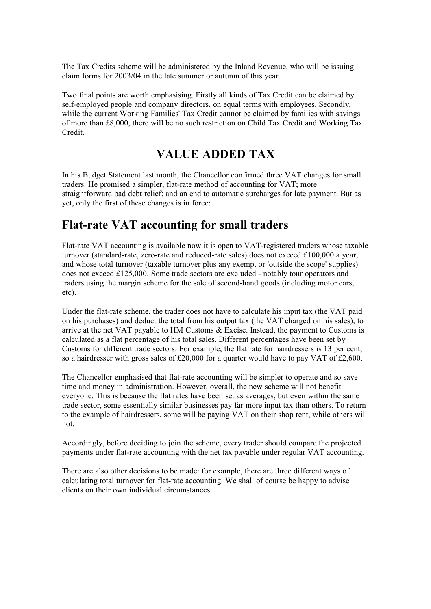The Tax Credits scheme will be administered by the Inland Revenue, who will be issuing claim forms for 2003/04 in the late summer or autumn of this year.

Two final points are worth emphasising. Firstly all kinds of Tax Credit can be claimed by self-employed people and company directors, on equal terms with employees. Secondly, while the current Working Families' Tax Credit cannot be claimed by families with savings of more than £8,000, there will be no such restriction on Child Tax Credit and Working Tax Credit.

#### **VALUE ADDED TAX**

In his Budget Statement last month, the Chancellor confirmed three VAT changes for small traders. He promised a simpler, flat-rate method of accounting for VAT; more straightforward bad debt relief; and an end to automatic surcharges for late payment. But as yet, only the first of these changes is in force:

### **Flat-rate VAT accounting for small traders**

Flat-rate VAT accounting is available now it is open to VAT-registered traders whose taxable turnover (standard-rate, zero-rate and reduced-rate sales) does not exceed £100,000 a year, and whose total turnover (taxable turnover plus any exempt or 'outside the scope' supplies) does not exceed £125,000. Some trade sectors are excluded - notably tour operators and traders using the margin scheme for the sale of second-hand goods (including motor cars, etc).

Under the flat-rate scheme, the trader does not have to calculate his input tax (the VAT paid on his purchases) and deduct the total from his output tax (the VAT charged on his sales), to arrive at the net VAT payable to HM Customs & Excise. Instead, the payment to Customs is calculated as a flat percentage of his total sales. Different percentages have been set by Customs for different trade sectors. For example, the flat rate for hairdressers is 13 per cent, so a hairdresser with gross sales of £20,000 for a quarter would have to pay VAT of £2,600.

The Chancellor emphasised that flat-rate accounting will be simpler to operate and so save time and money in administration. However, overall, the new scheme will not benefit everyone. This is because the flat rates have been set as averages, but even within the same trade sector, some essentially similar businesses pay far more input tax than others. To return to the example of hairdressers, some will be paying VAT on their shop rent, while others will not.

Accordingly, before deciding to join the scheme, every trader should compare the projected payments under flat-rate accounting with the net tax payable under regular VAT accounting.

There are also other decisions to be made: for example, there are three different ways of calculating total turnover for flat-rate accounting. We shall of course be happy to advise clients on their own individual circumstances.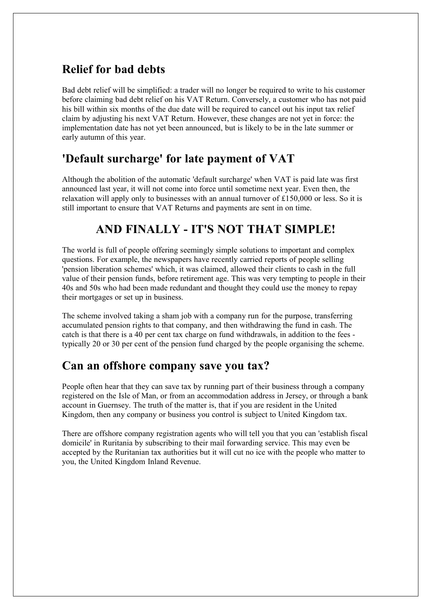# **Relief for bad debts**

Bad debt relief will be simplified: a trader will no longer be required to write to his customer before claiming bad debt relief on his VAT Return. Conversely, a customer who has not paid his bill within six months of the due date will be required to cancel out his input tax relief claim by adjusting his next VAT Return. However, these changes are not yet in force: the implementation date has not yet been announced, but is likely to be in the late summer or early autumn of this year.

## **'Default surcharge' for late payment of VAT**

Although the abolition of the automatic 'default surcharge' when VAT is paid late was first announced last year, it will not come into force until sometime next year. Even then, the relaxation will apply only to businesses with an annual turnover of £150,000 or less. So it is still important to ensure that VAT Returns and payments are sent in on time.

## **AND FINALLY - IT'S NOT THAT SIMPLE!**

The world is full of people offering seemingly simple solutions to important and complex questions. For example, the newspapers have recently carried reports of people selling 'pension liberation schemes' which, it was claimed, allowed their clients to cash in the full value of their pension funds, before retirement age. This was very tempting to people in their 40s and 50s who had been made redundant and thought they could use the money to repay their mortgages or set up in business.

The scheme involved taking a sham job with a company run for the purpose, transferring accumulated pension rights to that company, and then withdrawing the fund in cash. The catch is that there is a 40 per cent tax charge on fund withdrawals, in addition to the fees typically 20 or 30 per cent of the pension fund charged by the people organising the scheme.

#### **Can an offshore company save you tax?**

People often hear that they can save tax by running part of their business through a company registered on the Isle of Man, or from an accommodation address in Jersey, or through a bank account in Guernsey. The truth of the matter is, that if you are resident in the United Kingdom, then any company or business you control is subject to United Kingdom tax.

There are offshore company registration agents who will tell you that you can 'establish fiscal domicile' in Ruritania by subscribing to their mail forwarding service. This may even be accepted by the Ruritanian tax authorities but it will cut no ice with the people who matter to you, the United Kingdom Inland Revenue.